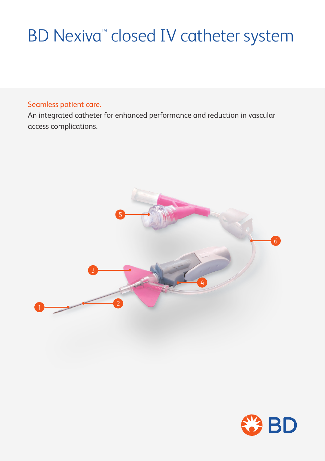# **BD Nexiva<sup>™</sup> closed IV catheter system**

### Seamless patient care.

An integrated catheter for enhanced performance and reduction in vascular access complications.